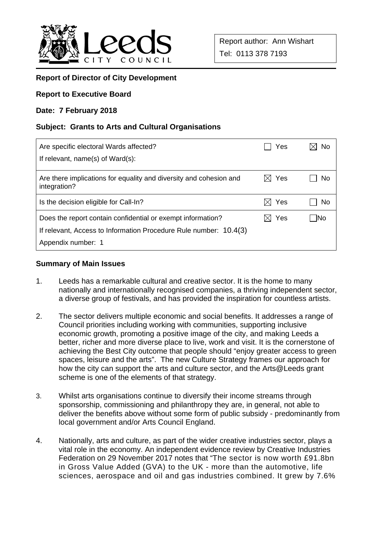

## **Report of Director of City Development**

### **Report to Executive Board**

### **Date: 7 February 2018**

### **Subject: Grants to Arts and Cultural Organisations**

| Are specific electoral Wards affected?<br>If relevant, name(s) of Ward(s):         | Yes             | No   |
|------------------------------------------------------------------------------------|-----------------|------|
| Are there implications for equality and diversity and cohesion and<br>integration? | $\boxtimes$ Yes | No   |
| Is the decision eligible for Call-In?                                              | Yes<br>$\times$ | No   |
| Does the report contain confidential or exempt information?                        | Yes             | -INo |
| If relevant, Access to Information Procedure Rule number: 10.4(3)                  |                 |      |
| Appendix number: 1                                                                 |                 |      |

#### **Summary of Main Issues**

- 1. Leeds has a remarkable cultural and creative sector. It is the home to many nationally and internationally recognised companies, a thriving independent sector, a diverse group of festivals, and has provided the inspiration for countless artists.
- 2. The sector delivers multiple economic and social benefits. It addresses a range of Council priorities including working with communities, supporting inclusive economic growth, promoting a positive image of the city, and making Leeds a better, richer and more diverse place to live, work and visit. It is the cornerstone of achieving the Best City outcome that people should "enjoy greater access to green spaces, leisure and the arts". The new Culture Strategy frames our approach for how the city can support the arts and culture sector, and the Arts@Leeds grant scheme is one of the elements of that strategy.
- 3. Whilst arts organisations continue to diversify their income streams through sponsorship, commissioning and philanthropy they are, in general, not able to deliver the benefits above without some form of public subsidy - predominantly from local government and/or Arts Council England.
- 4. Nationally, arts and culture, as part of the wider creative industries sector, plays a vital role in the economy. An independent evidence review by Creative Industries Federation on 29 November 2017 notes that "The sector is now worth £91.8bn in Gross Value Added (GVA) to the UK - more than the automotive, life sciences, aerospace and oil and gas industries combined. It grew by 7.6%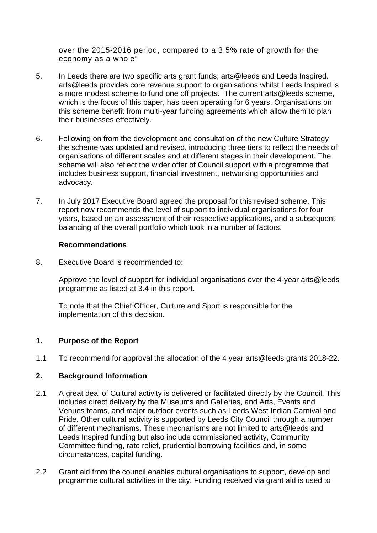over the 2015-2016 period, compared to a 3.5% rate of growth for the economy as a whole"

- 5. In Leeds there are two specific arts grant funds; arts@leeds and Leeds Inspired. arts@leeds provides core revenue support to organisations whilst Leeds Inspired is a more modest scheme to fund one off projects. The current arts@leeds scheme, which is the focus of this paper, has been operating for 6 years. Organisations on this scheme benefit from multi-year funding agreements which allow them to plan their businesses effectively.
- 6. Following on from the development and consultation of the new Culture Strategy the scheme was updated and revised, introducing three tiers to reflect the needs of organisations of different scales and at different stages in their development. The scheme will also reflect the wider offer of Council support with a programme that includes business support, financial investment, networking opportunities and advocacy.
- 7. In July 2017 Executive Board agreed the proposal for this revised scheme. This report now recommends the level of support to individual organisations for four years, based on an assessment of their respective applications, and a subsequent balancing of the overall portfolio which took in a number of factors.

### **Recommendations**

8. Executive Board is recommended to:

Approve the level of support for individual organisations over the 4-year arts@leeds programme as listed at 3.4 in this report.

To note that the Chief Officer, Culture and Sport is responsible for the implementation of this decision.

## **1. Purpose of the Report**

1.1 To recommend for approval the allocation of the 4 year arts@leeds grants 2018-22.

## **2. Background Information**

- 2.1 A great deal of Cultural activity is delivered or facilitated directly by the Council. This includes direct delivery by the Museums and Galleries, and Arts, Events and Venues teams, and major outdoor events such as Leeds West Indian Carnival and Pride. Other cultural activity is supported by Leeds City Council through a number of different mechanisms. These mechanisms are not limited to arts@leeds and Leeds Inspired funding but also include commissioned activity, Community Committee funding, rate relief, prudential borrowing facilities and, in some circumstances, capital funding.
- 2.2 Grant aid from the council enables cultural organisations to support, develop and programme cultural activities in the city. Funding received via grant aid is used to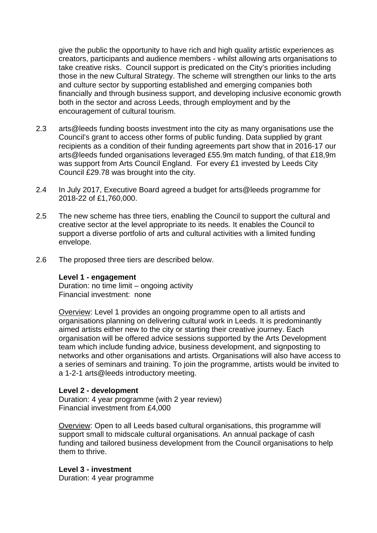give the public the opportunity to have rich and high quality artistic experiences as creators, participants and audience members - whilst allowing arts organisations to take creative risks. Council support is predicated on the City's priorities including those in the new Cultural Strategy. The scheme will strengthen our links to the arts and culture sector by supporting established and emerging companies both financially and through business support, and developing inclusive economic growth both in the sector and across Leeds, through employment and by the encouragement of cultural tourism.

- 2.3 arts@leeds funding boosts investment into the city as many organisations use the Council's grant to access other forms of public funding. Data supplied by grant recipients as a condition of their funding agreements part show that in 2016-17 our arts@leeds funded organisations leveraged £55.9m match funding, of that £18,9m was support from Arts Council England. For every £1 invested by Leeds City Council £29.78 was brought into the city.
- 2.4 In July 2017, Executive Board agreed a budget for arts@leeds programme for 2018-22 of £1,760,000.
- 2.5 The new scheme has three tiers, enabling the Council to support the cultural and creative sector at the level appropriate to its needs. It enables the Council to support a diverse portfolio of arts and cultural activities with a limited funding envelope.
- 2.6 The proposed three tiers are described below.

#### **Level 1 - engagement**

Duration: no time limit – ongoing activity Financial investment: none

Overview: Level 1 provides an ongoing programme open to all artists and organisations planning on delivering cultural work in Leeds. It is predominantly aimed artists either new to the city or starting their creative journey. Each organisation will be offered advice sessions supported by the Arts Development team which include funding advice, business development, and signposting to networks and other organisations and artists. Organisations will also have access to a series of seminars and training. To join the programme, artists would be invited to a 1-2-1 arts@leeds introductory meeting.

## **Level 2 - development**

Duration: 4 year programme (with 2 year review) Financial investment from £4,000

Overview: Open to all Leeds based cultural organisations, this programme will support small to midscale cultural organisations. An annual package of cash funding and tailored business development from the Council organisations to help them to thrive.

**Level 3 - investment**  Duration: 4 year programme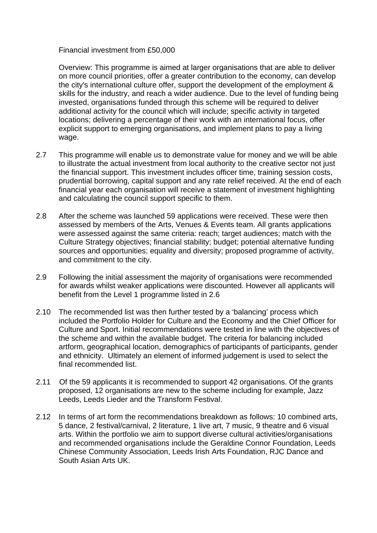### Financial investment from £50,000

Overview: This programme is aimed at larger organisations that are able to deliver on more council priorities, offer a greater contribution to the economy, can develop the city's international culture offer, support the development of the employment & skills for the industry, and reach a wider audience. Due to the level of funding being invested, organisations funded through this scheme will be required to deliver additional activity for the council which will include; specific activity in targeted locations; delivering a percentage of their work with an international focus, offer explicit support to emerging organisations, and implement plans to pay a living wage.

- 2.7 This programme will enable us to demonstrate value for money and we will be able to illustrate the actual investment from local authority to the creative sector not just the financial support. This investment includes officer time, training session costs, prudential borrowing, capital support and any rate relief received. At the end of each financial year each organisation will receive a statement of investment highlighting and calculating the council support specific to them.
- 2.8 After the scheme was launched 59 applications were received. These were then assessed by members of the Arts, Venues & Events team. All grants applications were assessed against the same criteria: reach; target audiences; match with the Culture Strategy objectives; financial stability; budget; potential alternative funding sources and opportunities; equality and diversity; proposed programme of activity, and commitment to the city.
- 2.9 Following the initial assessment the majority of organisations were recommended for awards whilst weaker applications were discounted. However all applicants will benefit from the Level 1 programme listed in 2.6
- 2.10 The recommended list was then further tested by a 'balancing' process which included the Portfolio Holder for Culture and the Economy and the Chief Officer for Culture and Sport. Initial recommendations were tested in line with the objectives of the scheme and within the available budget. The criteria for balancing included artform, geographical location, demographics of participants of participants, gender and ethnicity. Ultimately an element of informed judgement is used to select the final recommended list.
- 2.11 Of the 59 applicants it is recommended to support 42 organisations. Of the grants proposed, 12 organisations are new to the scheme including for example, Jazz Leeds, Leeds Lieder and the Transform Festival.
- 2.12 In terms of art form the recommendations breakdown as follows: 10 combined arts, 5 dance, 2 festival/carnival, 2 literature, 1 live art, 7 music, 9 theatre and 6 visual arts. Within the portfolio we aim to support diverse cultural activities/organisations and recommended organisations include the Geraldine Connor Foundation, Leeds Chinese Community Association, Leeds Irish Arts Foundation, RJC Dance and South Asian Arts UK.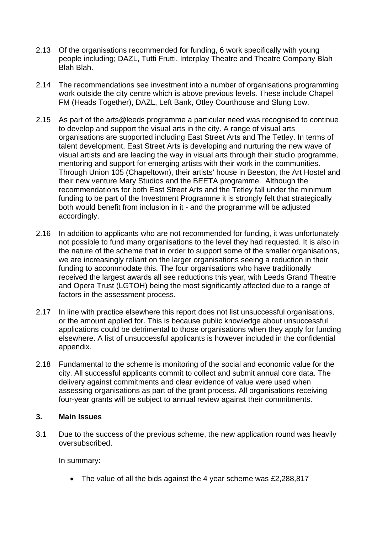- 2.13 Of the organisations recommended for funding, 6 work specifically with young people including; DAZL, Tutti Frutti, Interplay Theatre and Theatre Company Blah Blah Blah.
- 2.14 The recommendations see investment into a number of organisations programming work outside the city centre which is above previous levels. These include Chapel FM (Heads Together), DAZL, Left Bank, Otley Courthouse and Slung Low.
- 2.15 As part of the arts@leeds programme a particular need was recognised to continue to develop and support the visual arts in the city. A range of visual arts organisations are supported including East Street Arts and The Tetley. In terms of talent development, East Street Arts is developing and nurturing the new wave of visual artists and are leading the way in visual arts through their studio programme, mentoring and support for emerging artists with their work in the communities. Through Union 105 (Chapeltown), their artists' house in Beeston, the Art Hostel and their new venture Mary Studios and the BEETA programme. Although the recommendations for both East Street Arts and the Tetley fall under the minimum funding to be part of the Investment Programme it is strongly felt that strategically both would benefit from inclusion in it - and the programme will be adjusted accordingly.
- 2.16 In addition to applicants who are not recommended for funding, it was unfortunately not possible to fund many organisations to the level they had requested. It is also in the nature of the scheme that in order to support some of the smaller organisations, we are increasingly reliant on the larger organisations seeing a reduction in their funding to accommodate this. The four organisations who have traditionally received the largest awards all see reductions this year, with Leeds Grand Theatre and Opera Trust (LGTOH) being the most significantly affected due to a range of factors in the assessment process.
- 2.17 In line with practice elsewhere this report does not list unsuccessful organisations, or the amount applied for. This is because public knowledge about unsuccessful applications could be detrimental to those organisations when they apply for funding elsewhere. A list of unsuccessful applicants is however included in the confidential appendix.
- 2.18 Fundamental to the scheme is monitoring of the social and economic value for the city. All successful applicants commit to collect and submit annual core data. The delivery against commitments and clear evidence of value were used when assessing organisations as part of the grant process. All organisations receiving four-year grants will be subject to annual review against their commitments.

## **3. Main Issues**

3.1 Due to the success of the previous scheme, the new application round was heavily oversubscribed.

In summary:

• The value of all the bids against the 4 year scheme was £2,288,817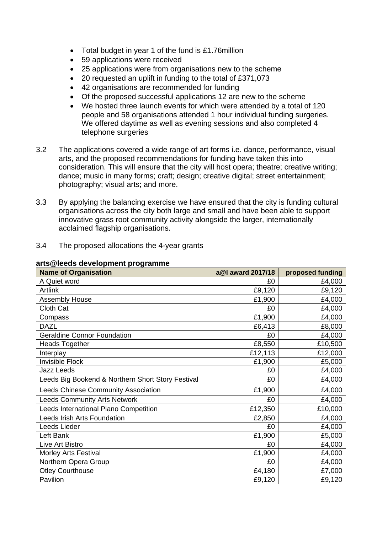- Total budget in year 1 of the fund is £1.76million
- 59 applications were received
- 25 applications were from organisations new to the scheme
- 20 requested an uplift in funding to the total of £371,073
- 42 organisations are recommended for funding
- Of the proposed successful applications 12 are new to the scheme
- We hosted three launch events for which were attended by a total of 120 people and 58 organisations attended 1 hour individual funding surgeries. We offered daytime as well as evening sessions and also completed 4 telephone surgeries
- 3.2 The applications covered a wide range of art forms i.e. dance, performance, visual arts, and the proposed recommendations for funding have taken this into consideration. This will ensure that the city will host opera; theatre; creative writing; dance; music in many forms; craft; design; creative digital; street entertainment; photography; visual arts; and more.
- 3.3 By applying the balancing exercise we have ensured that the city is funding cultural organisations across the city both large and small and have been able to support innovative grass root community activity alongside the larger, internationally acclaimed flagship organisations.
- 3.4 The proposed allocations the 4-year grants

| <b>Name of Organisation</b>                       | a@I award 2017/18 | proposed funding |
|---------------------------------------------------|-------------------|------------------|
| A Quiet word                                      | £0                | £4,000           |
| <b>Artlink</b>                                    | £9,120            | £9,120           |
| <b>Assembly House</b>                             | £1,900            | £4,000           |
| Cloth Cat                                         | £0                | £4,000           |
| Compass                                           | £1,900            | £4,000           |
| <b>DAZL</b>                                       | £6,413            | £8,000           |
| <b>Geraldine Connor Foundation</b>                | £0                | £4,000           |
| <b>Heads Together</b>                             | £8,550            | £10,500          |
| Interplay                                         | £12,113           | £12,000          |
| <b>Invisible Flock</b>                            | £1,900            | £5,000           |
| <b>Jazz Leeds</b>                                 | £0                | £4,000           |
| Leeds Big Bookend & Northern Short Story Festival | £0                | £4,000           |
| Leeds Chinese Community Association               | £1,900            | £4,000           |
| <b>Leeds Community Arts Network</b>               | £0                | £4,000           |
| Leeds International Piano Competition             | £12,350           | £10,000          |
| Leeds Irish Arts Foundation                       | £2,850            | £4,000           |
| Leeds Lieder                                      | £0                | £4,000           |
| Left Bank                                         | £1,900            | £5,000           |
| Live Art Bistro                                   | £0                | £4,000           |
| <b>Morley Arts Festival</b>                       | £1,900            | £4,000           |
| Northern Opera Group                              | £0                | £4,000           |
| <b>Otley Courthouse</b>                           | £4,180            | £7,000           |
| Pavilion                                          | £9,120            | £9,120           |

#### **arts@leeds development programme**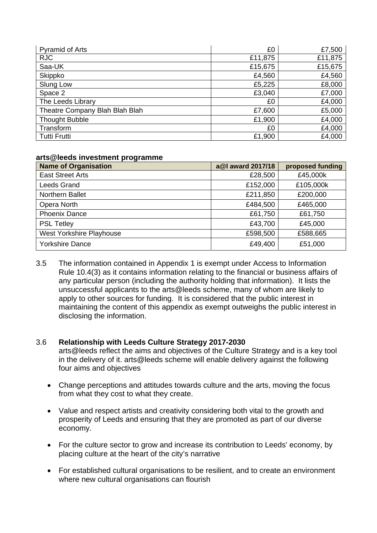| <b>Pyramid of Arts</b>         | £0      | £7,500  |
|--------------------------------|---------|---------|
| <b>RJC</b>                     | £11,875 | £11,875 |
| Saa-UK                         | £15,675 | £15,675 |
| Skippko                        | £4,560  | £4,560  |
| Slung Low                      | £5,225  | £8,000  |
| Space 2                        | £3,040  | £7,000  |
| The Leeds Library              | £0      | £4,000  |
| Theatre Company Blah Blah Blah | £7,600  | £5,000  |
| <b>Thought Bubble</b>          | £1,900  | £4,000  |
| Transform                      | £0      | £4,000  |
| <b>Tutti Frutti</b>            | £1,900  | £4,000  |

### **arts@leeds investment programme**

| <b>Name of Organisation</b> | a@I award 2017/18 | proposed funding |
|-----------------------------|-------------------|------------------|
| <b>East Street Arts</b>     | £28,500           | £45,000k         |
| Leeds Grand                 | £152,000          | £105,000k        |
| <b>Northern Ballet</b>      | £211,850          | £200,000         |
| Opera North                 | £484,500          | £465,000         |
| <b>Phoenix Dance</b>        | £61,750           | £61,750          |
| <b>PSL Tetley</b>           | £43,700           | £45,000          |
| West Yorkshire Playhouse    | £598,500          | £588,665         |
| <b>Yorkshire Dance</b>      | £49,400           | £51,000          |

3.5 The information contained in Appendix 1 is exempt under Access to Information Rule 10.4(3) as it contains information relating to the financial or business affairs of any particular person (including the authority holding that information). It lists the unsuccessful applicants to the arts@leeds scheme, many of whom are likely to apply to other sources for funding. It is considered that the public interest in maintaining the content of this appendix as exempt outweighs the public interest in disclosing the information.

## 3.6 **Relationship with Leeds Culture Strategy 2017-2030**

arts@leeds reflect the aims and objectives of the Culture Strategy and is a key tool in the delivery of it. arts@leeds scheme will enable delivery against the following four aims and objectives

- Change perceptions and attitudes towards culture and the arts, moving the focus from what they cost to what they create.
- Value and respect artists and creativity considering both vital to the growth and prosperity of Leeds and ensuring that they are promoted as part of our diverse economy.
- For the culture sector to grow and increase its contribution to Leeds' economy, by placing culture at the heart of the city's narrative
- For established cultural organisations to be resilient, and to create an environment where new cultural organisations can flourish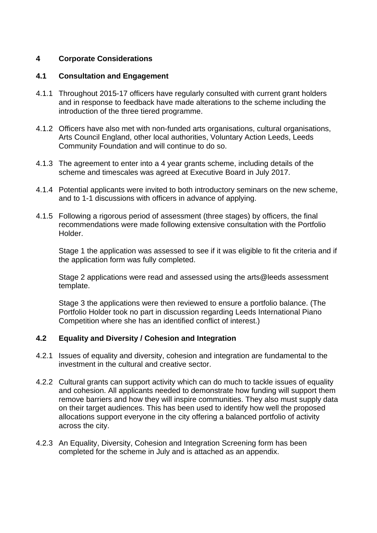## **4 Corporate Considerations**

## **4.1 Consultation and Engagement**

- 4.1.1 Throughout 2015-17 officers have regularly consulted with current grant holders and in response to feedback have made alterations to the scheme including the introduction of the three tiered programme.
- 4.1.2 Officers have also met with non-funded arts organisations, cultural organisations, Arts Council England, other local authorities, Voluntary Action Leeds, Leeds Community Foundation and will continue to do so.
- 4.1.3 The agreement to enter into a 4 year grants scheme, including details of the scheme and timescales was agreed at Executive Board in July 2017.
- 4.1.4 Potential applicants were invited to both introductory seminars on the new scheme, and to 1-1 discussions with officers in advance of applying.
- 4.1.5 Following a rigorous period of assessment (three stages) by officers, the final recommendations were made following extensive consultation with the Portfolio Holder.

Stage 1 the application was assessed to see if it was eligible to fit the criteria and if the application form was fully completed.

Stage 2 applications were read and assessed using the arts@leeds assessment template.

Stage 3 the applications were then reviewed to ensure a portfolio balance. (The Portfolio Holder took no part in discussion regarding Leeds International Piano Competition where she has an identified conflict of interest.)

# **4.2 Equality and Diversity / Cohesion and Integration**

- 4.2.1 Issues of equality and diversity, cohesion and integration are fundamental to the investment in the cultural and creative sector.
- 4.2.2 Cultural grants can support activity which can do much to tackle issues of equality and cohesion. All applicants needed to demonstrate how funding will support them remove barriers and how they will inspire communities. They also must supply data on their target audiences. This has been used to identify how well the proposed allocations support everyone in the city offering a balanced portfolio of activity across the city.
- 4.2.3 An Equality, Diversity, Cohesion and Integration Screening form has been completed for the scheme in July and is attached as an appendix.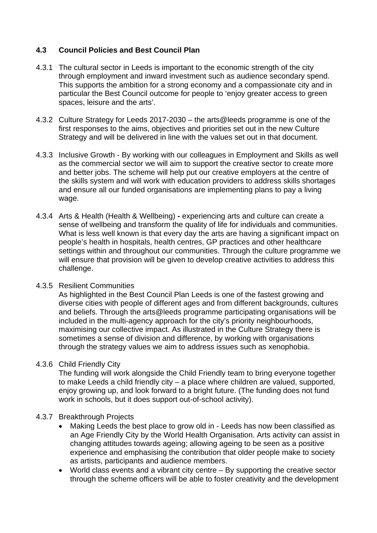# **4.3 Council Policies and Best Council Plan**

- 4.3.1 The cultural sector in Leeds is important to the economic strength of the city through employment and inward investment such as audience secondary spend. This supports the ambition for a strong economy and a compassionate city and in particular the Best Council outcome for people to 'enjoy greater access to green spaces, leisure and the arts'.
- 4.3.2 Culture Strategy for Leeds 2017-2030 the arts@leeds programme is one of the first responses to the aims, objectives and priorities set out in the new Culture Strategy and will be delivered in line with the values set out in that document.
- 4.3.3 Inclusive Growth By working with our colleagues in Employment and Skills as well as the commercial sector we will aim to support the creative sector to create more and better jobs. The scheme will help put our creative employers at the centre of the skills system and will work with education providers to address skills shortages and ensure all our funded organisations are implementing plans to pay a living wage.
- 4.3.4 Arts & Health (Health & Wellbeing)experiencing arts and culture can create a sense of wellbeing and transform the quality of life for individuals and communities. What is less well known is that every day the arts are having a significant impact on people's health in hospitals, health centres, GP practices and other healthcare settings within and throughout our communities. Through the culture programme we will ensure that provision will be given to develop creative activities to address this challenge.

## 4.3.5 Resilient Communities

As highlighted in the Best Council Plan Leeds is one of the fastest growing and diverse cities with people of different ages and from different backgrounds, cultures and beliefs. Through the arts@leeds programme participating organisations will be included in the multi-agency approach for the city's priority neighbourhoods, maximising our collective impact. As illustrated in the Culture Strategy there is sometimes a sense of division and difference, by working with organisations through the strategy values we aim to address issues such as xenophobia.

## 4.3.6Child Friendly City

The funding will work alongside the Child Friendly team to bring everyone together to make Leeds a child friendly city – a place where children are valued, supported, enjoy growing up, and look forward to a bright future. (The funding does not fund work in schools, but it does support out-of-school activity).

# 4.3.7 Breakthrough Projects

- Making Leeds the best place to grow old in Leeds has now been classified as an Age Friendly City by the World Health Organisation. Arts activity can assist in changing attitudes towards ageing; allowing ageing to be seen as a positive experience and emphasising the contribution that older people make to society as artists, participants and audience members.
- World class events and a vibrant city centre By supporting the creative sector through the scheme officers will be able to foster creativity and the development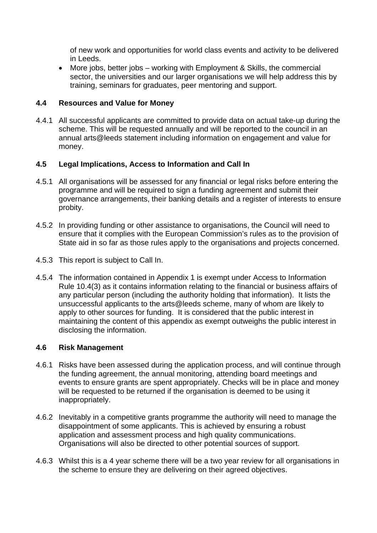of new work and opportunities for world class events and activity to be delivered in Leeds.

 More jobs, better jobs – working with Employment & Skills, the commercial sector, the universities and our larger organisations we will help address this by training, seminars for graduates, peer mentoring and support.

## **4.4 Resources and Value for Money**

4.4.1 All successful applicants are committed to provide data on actual take-up during the scheme. This will be requested annually and will be reported to the council in an annual arts@leeds statement including information on engagement and value for money.

## **4.5 Legal Implications, Access to Information and Call In**

- 4.5.1 All organisations will be assessed for any financial or legal risks before entering the programme and will be required to sign a funding agreement and submit their governance arrangements, their banking details and a register of interests to ensure probity.
- 4.5.2 In providing funding or other assistance to organisations, the Council will need to ensure that it complies with the European Commission's rules as to the provision of State aid in so far as those rules apply to the organisations and projects concerned.
- 4.5.3 This report is subject to Call In.
- 4.5.4 The information contained in Appendix 1 is exempt under Access to Information Rule 10.4(3) as it contains information relating to the financial or business affairs of any particular person (including the authority holding that information). It lists the unsuccessful applicants to the arts@leeds scheme, many of whom are likely to apply to other sources for funding. It is considered that the public interest in maintaining the content of this appendix as exempt outweighs the public interest in disclosing the information.

## **4.6 Risk Management**

- 4.6.1 Risks have been assessed during the application process, and will continue through the funding agreement, the annual monitoring, attending board meetings and events to ensure grants are spent appropriately. Checks will be in place and money will be requested to be returned if the organisation is deemed to be using it inappropriately.
- 4.6.2 Inevitably in a competitive grants programme the authority will need to manage the disappointment of some applicants. This is achieved by ensuring a robust application and assessment process and high quality communications. Organisations will also be directed to other potential sources of support.
- 4.6.3 Whilst this is a 4 year scheme there will be a two year review for all organisations in the scheme to ensure they are delivering on their agreed objectives.